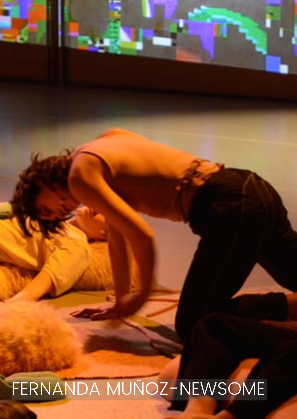

## FERNANDA MUÑOZ-NEWSOME